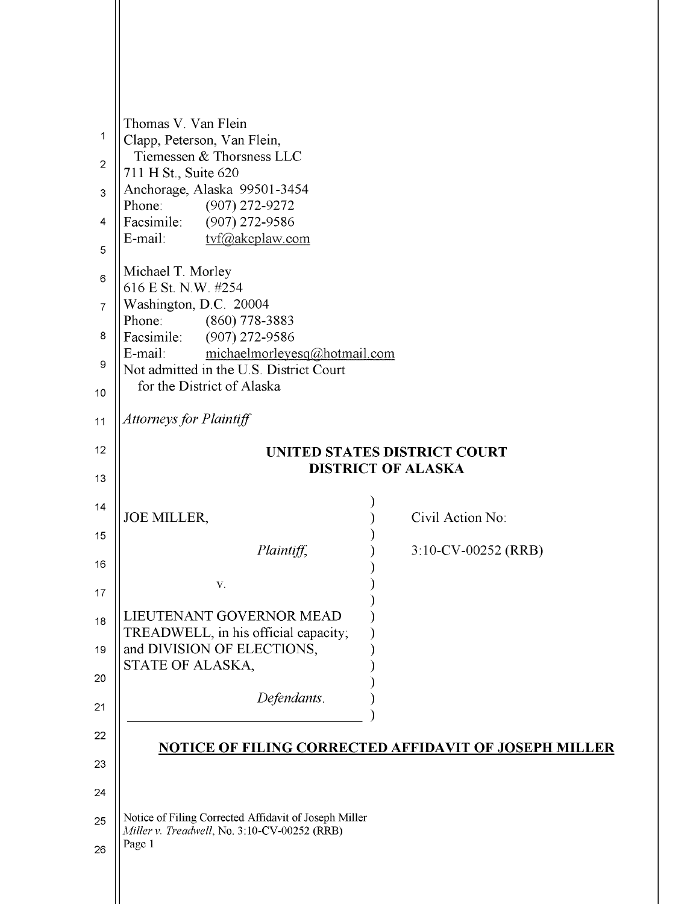| 1              | Thomas V. Van Flein<br>Clapp, Peterson, Van Flein,                                 |                                                       |  |
|----------------|------------------------------------------------------------------------------------|-------------------------------------------------------|--|
| $\overline{2}$ | Tiemessen & Thorsness LLC<br>711 H St., Suite 620                                  |                                                       |  |
| 3              | Anchorage, Alaska 99501-3454<br>Phone:                                             |                                                       |  |
| $\overline{4}$ | $(907)$ 272-9272<br>Facsimile:<br>$(907)$ 272-9586                                 |                                                       |  |
| 5              | tvf@akcplaw.com<br>E-mail:                                                         |                                                       |  |
| 6              | Michael T. Morley<br>616 E St. N.W. #254                                           |                                                       |  |
| $\overline{7}$ | Washington, D.C. 20004                                                             |                                                       |  |
| 8              | Phone:<br>$(860)$ 778-3883<br>Facsimile:<br>$(907)$ 272-9586                       |                                                       |  |
| 9              | michaelmorleyesq@hotmail.com<br>E-mail:<br>Not admitted in the U.S. District Court |                                                       |  |
| 10             | for the District of Alaska                                                         |                                                       |  |
| 11             | <b>Attorneys for Plaintiff</b>                                                     |                                                       |  |
| 12             | <b>UNITED STATES DISTRICT COURT</b><br><b>DISTRICT OF ALASKA</b>                   |                                                       |  |
| 13             |                                                                                    |                                                       |  |
| 14             |                                                                                    |                                                       |  |
|                |                                                                                    |                                                       |  |
| 15             | <b>JOE MILLER,</b>                                                                 | Civil Action No:                                      |  |
| 16             | Plaintiff,                                                                         | 3:10-CV-00252 (RRB)                                   |  |
| 17             | V.                                                                                 |                                                       |  |
| 18             | LIEUTENANT GOVERNOR MEAD                                                           |                                                       |  |
| 19             | TREADWELL, in his official capacity;<br>and DIVISION OF ELECTIONS,                 |                                                       |  |
| 20             | STATE OF ALASKA,                                                                   |                                                       |  |
| 21             | Defendants.                                                                        |                                                       |  |
| 22             |                                                                                    |                                                       |  |
| 23             |                                                                                    | NOTICE OF FILING CORRECTED AFFIDAVIT OF JOSEPH MILLER |  |
| 24             |                                                                                    |                                                       |  |
| 25             | Notice of Filing Corrected Affidavit of Joseph Miller                              |                                                       |  |
| 26             | Miller v. Treadwell, No. 3:10-CV-00252 (RRB)<br>Page 1                             |                                                       |  |

[Dockets.Justia.com](http://dockets.justia.com/)

[Miller v. Lieutenant Governor Craig Campbell et al](http://dockets.justia.com/docket/alaska/akdce/3:2010cv00252/37842/) [Doc. 89](http://docs.justia.com/cases/federal/district-courts/alaska/akdce/3:2010cv00252/37842/89/)